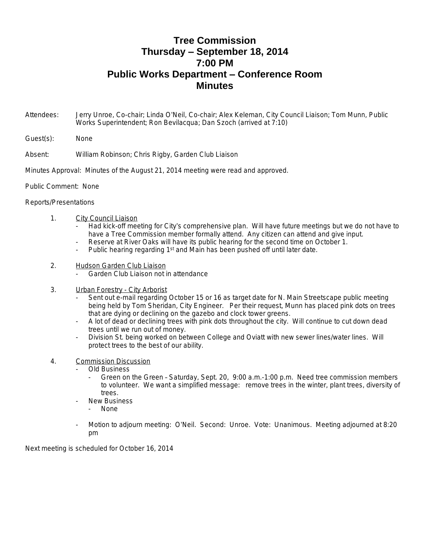## **Tree Commission Thursday – September 18, 2014 7:00 PM Public Works Department – Conference Room Minutes**

- Attendees: Jerry Unroe, Co-chair; Linda O'Neil, Co-chair; Alex Keleman, City Council Liaison; Tom Munn, Public Works Superintendent; Ron Bevilacqua; Dan Szoch (arrived at 7:10)
- Guest(s): None
- Absent: William Robinson; Chris Rigby, Garden Club Liaison
- Minutes Approval: Minutes of the August 21, 2014 meeting were read and approved.
- Public Comment: None

## Reports/Presentations

- 1. City Council Liaison
	- Had kick-off meeting for City's comprehensive plan. Will have future meetings but we do not have to have a Tree Commission member formally attend. Any citizen can attend and give input.
	- Reserve at River Oaks will have its public hearing for the second time on October 1.
	- Public hearing regarding 1<sup>st</sup> and Main has been pushed off until later date.
- 2. Hudson Garden Club Liaison
	- Garden Club Liaison not in attendance
- 3. Urban Forestry City Arborist
	- Sent out e-mail regarding October 15 or 16 as target date for N. Main Streetscape public meeting being held by Tom Sheridan, City Engineer. Per their request, Munn has placed pink dots on trees that are dying or declining on the gazebo and clock tower greens.
	- A lot of dead or declining trees with pink dots throughout the city. Will continue to cut down dead trees until we run out of money.
	- Division St. being worked on between College and Oviatt with new sewer lines/water lines. Will protect trees to the best of our ability.

## 4. Commission Discussion

- Old Business
	- Green on the Green Saturday, Sept. 20, 9:00 a.m.-1:00 p.m. Need tree commission members to volunteer. We want a simplified message: remove trees in the winter, plant trees, diversity of trees.
- **New Business** 
	- None
- Motion to adjourn meeting: O'Neil. Second: Unroe. Vote: Unanimous. Meeting adjourned at 8:20 pm

Next meeting is scheduled for October 16, 2014